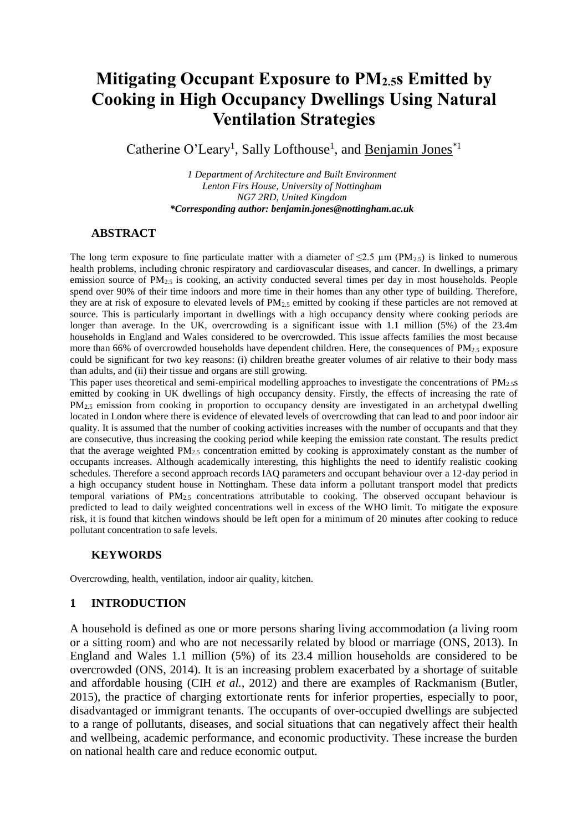# **Mitigating Occupant Exposure to PM2.5s Emitted by Cooking in High Occupancy Dwellings Using Natural Ventilation Strategies**

Catherine O'Leary<sup>1</sup>, Sally Lofthouse<sup>1</sup>, and <u>Benjamin Jones</u><sup>\*1</sup>

*1 Department of Architecture and Built Environment Lenton Firs House, University of Nottingham NG7 2RD, United Kingdom \*Corresponding author: benjamin.jones@nottingham.ac.uk*

#### **ABSTRACT**

The long term exposure to fine particulate matter with a diameter of  $\leq 2.5 \mu m$  (PM<sub>2.5</sub>) is linked to numerous health problems, including chronic respiratory and cardiovascular diseases, and cancer. In dwellings, a primary emission source of  $PM_2$ <sub>5</sub> is cooking, an activity conducted several times per day in most households. People spend over 90% of their time indoors and more time in their homes than any other type of building. Therefore, they are at risk of exposure to elevated levels of PM2.5 emitted by cooking if these particles are not removed at source. This is particularly important in dwellings with a high occupancy density where cooking periods are longer than average. In the UK, overcrowding is a significant issue with 1.1 million (5%) of the 23.4m households in England and Wales considered to be overcrowded. This issue affects families the most because more than 66% of overcrowded households have dependent children. Here, the consequences of PM<sub>2.5</sub> exposure could be significant for two key reasons: (i) children breathe greater volumes of air relative to their body mass than adults, and (ii) their tissue and organs are still growing.

This paper uses theoretical and semi-empirical modelling approaches to investigate the concentrations of  $PM_{2.5}$ s emitted by cooking in UK dwellings of high occupancy density. Firstly, the effects of increasing the rate of PM<sub>2.5</sub> emission from cooking in proportion to occupancy density are investigated in an archetypal dwelling located in London where there is evidence of elevated levels of overcrowding that can lead to and poor indoor air quality. It is assumed that the number of cooking activities increases with the number of occupants and that they are consecutive, thus increasing the cooking period while keeping the emission rate constant. The results predict that the average weighted  $PM_{2.5}$  concentration emitted by cooking is approximately constant as the number of occupants increases. Although academically interesting, this highlights the need to identify realistic cooking schedules. Therefore a second approach records IAQ parameters and occupant behaviour over a 12-day period in a high occupancy student house in Nottingham. These data inform a pollutant transport model that predicts temporal variations of  $PM_{2.5}$  concentrations attributable to cooking. The observed occupant behaviour is predicted to lead to daily weighted concentrations well in excess of the WHO limit. To mitigate the exposure risk, it is found that kitchen windows should be left open for a minimum of 20 minutes after cooking to reduce pollutant concentration to safe levels.

#### **KEYWORDS**

Overcrowding, health, ventilation, indoor air quality, kitchen.

#### **1 INTRODUCTION**

A household is defined as one or more persons sharing living accommodation (a living room or a sitting room) and who are not necessarily related by blood or marriage (ONS, 2013). In England and Wales 1.1 million (5%) of its 23.4 million households are considered to be overcrowded (ONS, 2014). It is an increasing problem exacerbated by a shortage of suitable and affordable housing (CIH *et al.*, 2012) and there are examples of Rackmanism (Butler, 2015), the practice of charging extortionate rents for inferior properties, especially to poor, disadvantaged or immigrant tenants. The occupants of over-occupied dwellings are subjected to a range of pollutants, diseases, and social situations that can negatively affect their health and wellbeing, academic performance, and economic productivity. These increase the burden on national health care and reduce economic output.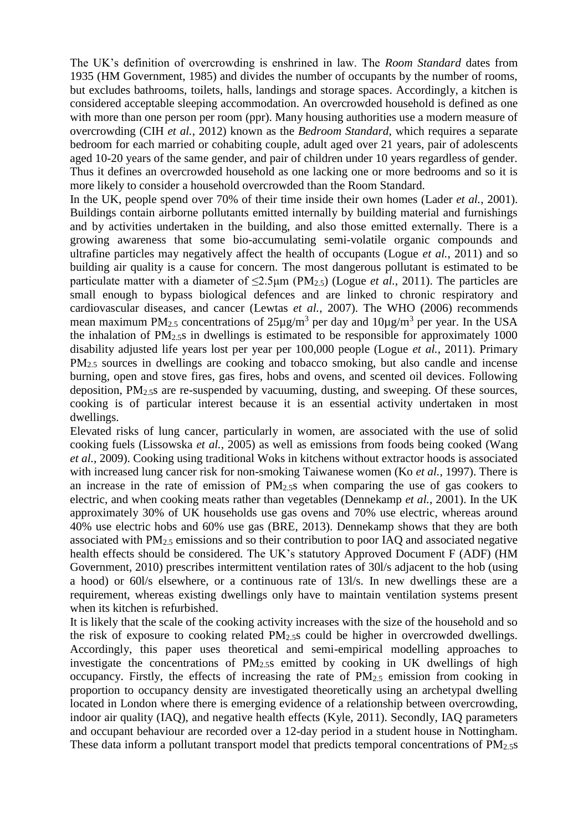The UK's definition of overcrowding is enshrined in law. The *Room Standard* dates from 1935 (HM Government, 1985) and divides the number of occupants by the number of rooms, but excludes bathrooms, toilets, halls, landings and storage spaces. Accordingly, a kitchen is considered acceptable sleeping accommodation. An overcrowded household is defined as one with more than one person per room (ppr). Many housing authorities use a modern measure of overcrowding (CIH *et al.*, 2012) known as the *Bedroom Standard*, which requires a separate bedroom for each married or cohabiting couple, adult aged over 21 years, pair of adolescents aged 10-20 years of the same gender, and pair of children under 10 years regardless of gender. Thus it defines an overcrowded household as one lacking one or more bedrooms and so it is more likely to consider a household overcrowded than the Room Standard.

In the UK, people spend over 70% of their time inside their own homes (Lader *et al.*, 2001). Buildings contain airborne pollutants emitted internally by building material and furnishings and by activities undertaken in the building, and also those emitted externally. There is a growing awareness that some bio-accumulating semi-volatile organic compounds and ultrafine particles may negatively affect the health of occupants (Logue *et al.*, 2011) and so building air quality is a cause for concern. The most dangerous pollutant is estimated to be particulate matter with a diameter of  $\leq$ 2.5 $\mu$ m (PM<sub>2.5</sub>) (Logue *et al.*, 2011). The particles are small enough to bypass biological defences and are linked to chronic respiratory and cardiovascular diseases, and cancer (Lewtas *et al.*, 2007). The WHO (2006) recommends mean maximum PM<sub>2.5</sub> concentrations of  $25\mu g/m^3$  per day and  $10\mu g/m^3$  per year. In the USA the inhalation of  $PM<sub>2.5</sub>$  in dwellings is estimated to be responsible for approximately 1000 disability adjusted life years lost per year per 100,000 people (Logue *et al.*, 2011). Primary PM<sub>2.5</sub> sources in dwellings are cooking and tobacco smoking, but also candle and incense burning, open and stove fires, gas fires, hobs and ovens, and scented oil devices. Following deposition, PM2.5s are re-suspended by vacuuming, dusting, and sweeping. Of these sources, cooking is of particular interest because it is an essential activity undertaken in most dwellings.

Elevated risks of lung cancer, particularly in women, are associated with the use of solid cooking fuels (Lissowska *et al.*, 2005) as well as emissions from foods being cooked (Wang *et al.*, 2009). Cooking using traditional Woks in kitchens without extractor hoods is associated with increased lung cancer risk for non-smoking Taiwanese women (Ko *et al.*, 1997). There is an increase in the rate of emission of  $PM<sub>2.5</sub>$  when comparing the use of gas cookers to electric, and when cooking meats rather than vegetables (Dennekamp *et al.*, 2001). In the UK approximately 30% of UK households use gas ovens and 70% use electric, whereas around 40% use electric hobs and 60% use gas (BRE, 2013). Dennekamp shows that they are both associated with  $PM<sub>2.5</sub>$  emissions and so their contribution to poor IAO and associated negative health effects should be considered. The UK's statutory Approved Document F (ADF) (HM Government, 2010) prescribes intermittent ventilation rates of 30l/s adjacent to the hob (using a hood) or 60l/s elsewhere, or a continuous rate of 13l/s. In new dwellings these are a requirement, whereas existing dwellings only have to maintain ventilation systems present when its kitchen is refurbished.

It is likely that the scale of the cooking activity increases with the size of the household and so the risk of exposure to cooking related  $PM<sub>2.5</sub>$  could be higher in overcrowded dwellings. Accordingly, this paper uses theoretical and semi-empirical modelling approaches to investigate the concentrations of PM2.5s emitted by cooking in UK dwellings of high occupancy. Firstly, the effects of increasing the rate of  $PM_{2.5}$  emission from cooking in proportion to occupancy density are investigated theoretically using an archetypal dwelling located in London where there is emerging evidence of a relationship between overcrowding, indoor air quality (IAQ), and negative health effects (Kyle, 2011). Secondly, IAQ parameters and occupant behaviour are recorded over a 12-day period in a student house in Nottingham. These data inform a pollutant transport model that predicts temporal concentrations of PM<sub>2.5</sub>s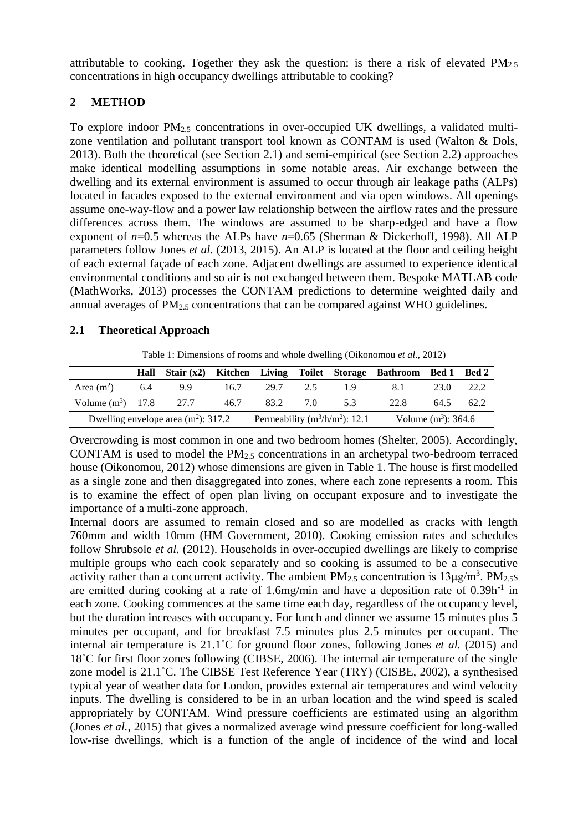attributable to cooking. Together they ask the question: is there a risk of elevated  $PM_{2.5}$ concentrations in high occupancy dwellings attributable to cooking?

# **2 METHOD**

To explore indoor  $PM_2$ <sub>5</sub> concentrations in over-occupied UK dwellings, a validated multizone ventilation and pollutant transport tool known as CONTAM is used (Walton & Dols, 2013). Both the theoretical (see Section 2.1) and semi-empirical (see Section 2.2) approaches make identical modelling assumptions in some notable areas. Air exchange between the dwelling and its external environment is assumed to occur through air leakage paths (ALPs) located in facades exposed to the external environment and via open windows. All openings assume one-way-flow and a power law relationship between the airflow rates and the pressure differences across them. The windows are assumed to be sharp-edged and have a flow exponent of *n*=0.5 whereas the ALPs have *n*=0.65 (Sherman & Dickerhoff, 1998). All ALP parameters follow Jones *et al*. (2013, 2015). An ALP is located at the floor and ceiling height of each external façade of each zone. Adjacent dwellings are assumed to experience identical environmental conditions and so air is not exchanged between them. Bespoke MATLAB code (MathWorks, 2013) processes the CONTAM predictions to determine weighted daily and annual averages of  $PM<sub>2.5</sub>$  concentrations that can be compared against WHO guidelines.

# **2.1 Theoretical Approach**

Table 1: Dimensions of rooms and whole dwelling (Oikonomou *et al*., 2012)

|                                            |  |  |                     |                                    | Hall Stair (x2) Kitchen Living Toilet Storage Bathroom Bed 1 Bed 2 |           |  |
|--------------------------------------------|--|--|---------------------|------------------------------------|--------------------------------------------------------------------|-----------|--|
| Area $(m^2)$ 6.4 9.9                       |  |  | $16.7$ 29.7 2.5 1.9 |                                    | 8.1                                                                | 23.0 22.2 |  |
| Volume $(m^3)$ 17.8 27.7 46.7 83.2 7.0 5.3 |  |  |                     |                                    | 22.8                                                               | 64.5 62.2 |  |
| Dwelling envelope area $(m^2)$ : 317.2     |  |  |                     | Permeability ( $m^3/h/m^2$ ): 12.1 | Volume $(m^3)$ : 364.6                                             |           |  |

Overcrowding is most common in one and two bedroom homes (Shelter, 2005). Accordingly, CONTAM is used to model the PM2.5 concentrations in an archetypal two-bedroom terraced house (Oikonomou, 2012) whose dimensions are given in Table 1. The house is first modelled as a single zone and then disaggregated into zones, where each zone represents a room. This is to examine the effect of open plan living on occupant exposure and to investigate the importance of a multi-zone approach.

Internal doors are assumed to remain closed and so are modelled as cracks with length 760mm and width 10mm (HM Government, 2010). Cooking emission rates and schedules follow Shrubsole *et al.* (2012). Households in over-occupied dwellings are likely to comprise multiple groups who each cook separately and so cooking is assumed to be a consecutive activity rather than a concurrent activity. The ambient  $PM_{2.5}$  concentration is  $13\mu\text{g/m}^3$ .  $PM_{2.5}$ are emitted during cooking at a rate of 1.6mg/min and have a deposition rate of  $0.39h^{-1}$  in each zone. Cooking commences at the same time each day, regardless of the occupancy level, but the duration increases with occupancy. For lunch and dinner we assume 15 minutes plus 5 minutes per occupant, and for breakfast 7.5 minutes plus 2.5 minutes per occupant. The internal air temperature is 21.1˚C for ground floor zones, following Jones *et al.* (2015) and 18˚C for first floor zones following (CIBSE, 2006). The internal air temperature of the single zone model is 21.1˚C. The CIBSE Test Reference Year (TRY) (CISBE, 2002), a synthesised typical year of weather data for London, provides external air temperatures and wind velocity inputs. The dwelling is considered to be in an urban location and the wind speed is scaled appropriately by CONTAM. Wind pressure coefficients are estimated using an algorithm (Jones *et al.*, 2015) that gives a normalized average wind pressure coefficient for long-walled low-rise dwellings, which is a function of the angle of incidence of the wind and local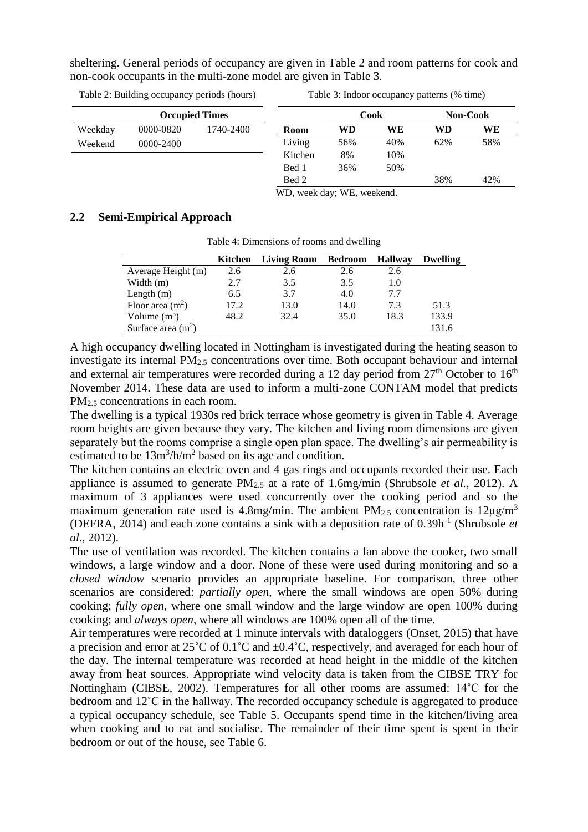sheltering. General periods of occupancy are given in Table 2 and room patterns for cook and non-cook occupants in the multi-zone model are given in Table 3.

**Occupied Times** Weekday 0000-0820 1740-2400 Weekend 0000-2400 **Room Cook Non-Cook WD WE WD WE** Living 56% 40% 62% 58% Kitchen 8% 10% Bed 1 36% 50% Bed 2 38% 42%

WD, week day; WE, weekend.

#### **2.2 Semi-Empirical Approach**

| Table 4: Dimensions of rooms and dwelling |         |                    |                |                |          |  |  |
|-------------------------------------------|---------|--------------------|----------------|----------------|----------|--|--|
|                                           | Kitchen | <b>Living Room</b> | <b>Bedroom</b> | <b>Hallway</b> | Dwelling |  |  |
| Average Height (m)                        | 2.6     | 2.6                | 2.6            | 2.6            |          |  |  |
| Width (m)                                 | 2.7     | 3.5                | 3.5            | 1.0            |          |  |  |
| Length $(m)$                              | 6.5     | 3.7                | 4.0            | 7.7            |          |  |  |
| Floor area $(m^2)$                        | 17.2    | 13.0               | 14.0           | 7.3            | 51.3     |  |  |
| Volume $(m^3)$                            | 48.2    | 32.4               | 35.0           | 18.3           | 133.9    |  |  |
| Surface area $(m2)$                       |         |                    |                |                | 131.6    |  |  |

A high occupancy dwelling located in Nottingham is investigated during the heating season to investigate its internal PM2.5 concentrations over time. Both occupant behaviour and internal and external air temperatures were recorded during a 12 day period from  $27<sup>th</sup>$  October to  $16<sup>th</sup>$ November 2014. These data are used to inform a multi-zone CONTAM model that predicts PM<sub>2.5</sub> concentrations in each room.

The dwelling is a typical 1930s red brick terrace whose geometry is given in Table 4. Average room heights are given because they vary. The kitchen and living room dimensions are given separately but the rooms comprise a single open plan space. The dwelling's air permeability is estimated to be  $13m^3/h/m^2$  based on its age and condition.

The kitchen contains an electric oven and 4 gas rings and occupants recorded their use. Each appliance is assumed to generate PM2.5 at a rate of 1.6mg/min (Shrubsole *et al.*, 2012). A maximum of 3 appliances were used concurrently over the cooking period and so the maximum generation rate used is 4.8mg/min. The ambient  $PM_{2.5}$  concentration is  $12\mu\text{g/m}^3$ (DEFRA, 2014) and each zone contains a sink with a deposition rate of 0.39h-1 (Shrubsole *et al.*, 2012).

The use of ventilation was recorded. The kitchen contains a fan above the cooker, two small windows, a large window and a door. None of these were used during monitoring and so a *closed window* scenario provides an appropriate baseline. For comparison, three other scenarios are considered: *partially open*, where the small windows are open 50% during cooking; *fully open*, where one small window and the large window are open 100% during cooking; and *always open*, where all windows are 100% open all of the time.

Air temperatures were recorded at 1 minute intervals with dataloggers (Onset, 2015) that have a precision and error at  $25^{\circ}$ C of  $0.1^{\circ}$ C and  $\pm 0.4^{\circ}$ C, respectively, and averaged for each hour of the day. The internal temperature was recorded at head height in the middle of the kitchen away from heat sources. Appropriate wind velocity data is taken from the CIBSE TRY for Nottingham (CIBSE, 2002). Temperatures for all other rooms are assumed: 14˚C for the bedroom and 12˚C in the hallway. The recorded occupancy schedule is aggregated to produce a typical occupancy schedule, see Table 5. Occupants spend time in the kitchen/living area when cooking and to eat and socialise. The remainder of their time spent is spent in their bedroom or out of the house, see Table 6.

Table 2: Building occupancy periods (hours)

Table 3: Indoor occupancy patterns (% time)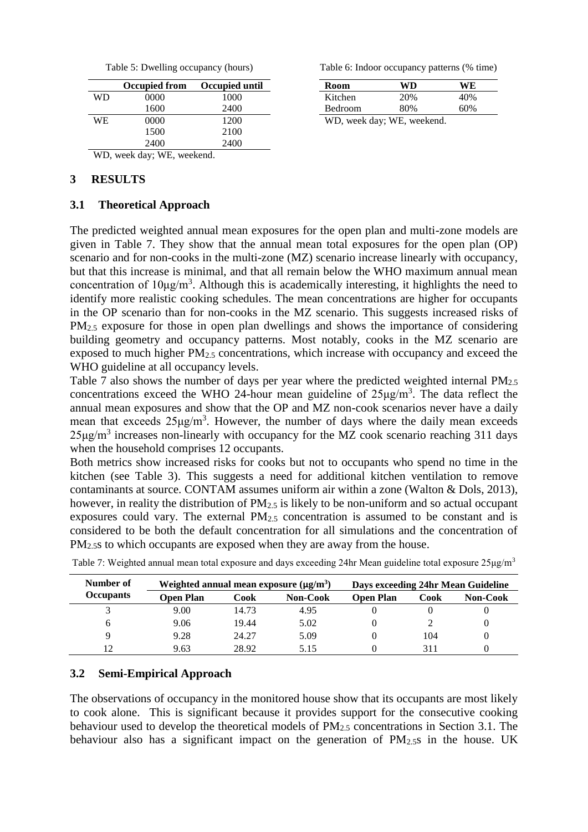| Table 5: Dwelling occupancy (hours) |  |  |
|-------------------------------------|--|--|
|-------------------------------------|--|--|

|                            | <b>Occupied from</b> | Occupied until |  |  |  |
|----------------------------|----------------------|----------------|--|--|--|
| WD                         | 0000                 | 1000           |  |  |  |
|                            | 1600                 | 2400           |  |  |  |
| WE                         | 0000                 | 1200           |  |  |  |
|                            | 1500                 | 2100           |  |  |  |
|                            | 2400                 | 2400           |  |  |  |
| WD, week day; WE, weekend. |                      |                |  |  |  |

### **3 RESULTS**

#### **3.1 Theoretical Approach**

Table 6: Indoor occupancy patterns (% time)

| Room                                                                                                    | WD  | WE  |  |  |  |
|---------------------------------------------------------------------------------------------------------|-----|-----|--|--|--|
| Kitchen                                                                                                 | 20% | 40% |  |  |  |
| Bedroom                                                                                                 | 80% | 60% |  |  |  |
| $\mathbf{W}$ $\mathbf{D}$ $\mathbf{1}$ $\mathbf{1}$ $\mathbf{W}$ $\mathbf{D}$ $\mathbf{1}$ $\mathbf{1}$ |     |     |  |  |  |

WD, week day; WE, weekend.

The predicted weighted annual mean exposures for the open plan and multi-zone models are given in Table 7. They show that the annual mean total exposures for the open plan (OP) scenario and for non-cooks in the multi-zone (MZ) scenario increase linearly with occupancy, but that this increase is minimal, and that all remain below the WHO maximum annual mean concentration of  $10\mu\text{g/m}^3$ . Although this is academically interesting, it highlights the need to identify more realistic cooking schedules. The mean concentrations are higher for occupants in the OP scenario than for non-cooks in the MZ scenario. This suggests increased risks of PM<sub>2.5</sub> exposure for those in open plan dwellings and shows the importance of considering building geometry and occupancy patterns. Most notably, cooks in the MZ scenario are exposed to much higher  $PM<sub>2.5</sub>$  concentrations, which increase with occupancy and exceed the WHO guideline at all occupancy levels.

Table 7 also shows the number of days per year where the predicted weighted internal PM2.5 concentrations exceed the WHO 24-hour mean guideline of  $25\mu g/m<sup>3</sup>$ . The data reflect the annual mean exposures and show that the OP and MZ non-cook scenarios never have a daily mean that exceeds  $25\mu g/m^3$ . However, the number of days where the daily mean exceeds  $25\mu g/m^3$  increases non-linearly with occupancy for the MZ cook scenario reaching 311 days when the household comprises 12 occupants.

Both metrics show increased risks for cooks but not to occupants who spend no time in the kitchen (see Table 3). This suggests a need for additional kitchen ventilation to remove contaminants at source. CONTAM assumes uniform air within a zone (Walton & Dols, 2013), however, in reality the distribution of  $PM_{2.5}$  is likely to be non-uniform and so actual occupant exposures could vary. The external PM2.5 concentration is assumed to be constant and is considered to be both the default concentration for all simulations and the concentration of PM<sub>2.5</sub>s to which occupants are exposed when they are away from the house.

| Number of | Weighted annual mean exposure $(\mu g/m^3)$ |       |                 | Days exceeding 24hr Mean Guideline |      |          |
|-----------|---------------------------------------------|-------|-----------------|------------------------------------|------|----------|
| Occupants | Open Plan                                   | Cook  | <b>Non-Cook</b> | <b>Open Plan</b>                   | Cook | Non-Cook |
|           | 9.00                                        | 14.73 | 4.95            |                                    |      |          |
| h         | 9.06                                        | 19.44 | 5.02            |                                    |      |          |
|           | 9.28                                        | 24.27 | 5.09            |                                    | 104  |          |
| 12        | 9.63                                        | 28.92 | 5.15            |                                    | 311  |          |

Table 7: Weighted annual mean total exposure and days exceeding 24hr Mean guideline total exposure 25µg/m<sup>3</sup>

# **3.2 Semi-Empirical Approach**

The observations of occupancy in the monitored house show that its occupants are most likely to cook alone. This is significant because it provides support for the consecutive cooking behaviour used to develop the theoretical models of PM2.5 concentrations in Section 3.1. The behaviour also has a significant impact on the generation of  $PM_{2.5}$  in the house. UK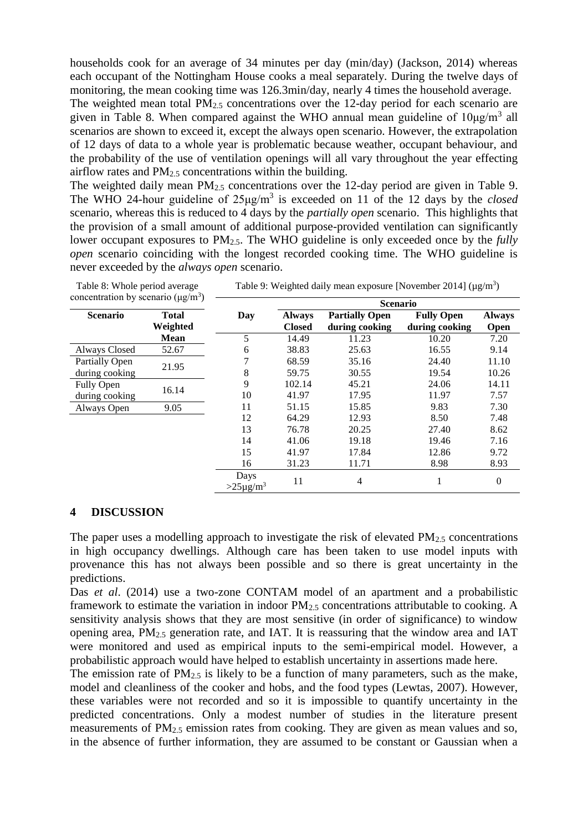households cook for an average of 34 minutes per day (min/day) (Jackson, 2014) whereas each occupant of the Nottingham House cooks a meal separately. During the twelve days of monitoring, the mean cooking time was 126.3min/day, nearly 4 times the household average.

The weighted mean total  $PM<sub>2.5</sub>$  concentrations over the 12-day period for each scenario are given in Table 8. When compared against the WHO annual mean guideline of  $10\mu g/m^3$  all scenarios are shown to exceed it, except the always open scenario. However, the extrapolation of 12 days of data to a whole year is problematic because weather, occupant behaviour, and the probability of the use of ventilation openings will all vary throughout the year effecting airflow rates and  $PM<sub>2.5</sub>$  concentrations within the building.

The weighted daily mean  $PM_{2.5}$  concentrations over the 12-day period are given in Table 9. The WHO 24-hour guideline of 25μg/m<sup>3</sup> is exceeded on 11 of the 12 days by the *closed* scenario, whereas this is reduced to 4 days by the *partially open* scenario. This highlights that the provision of a small amount of additional purpose-provided ventilation can significantly lower occupant exposures to PM2.5. The WHO guideline is only exceeded once by the *fully open* scenario coinciding with the longest recorded cooking time. The WHO guideline is never exceeded by the *always open* scenario.

| concentration by scenario ( $\mu$ g/m <sup>3</sup> ) |              |                                   |                 |                       |                   |               |  |
|------------------------------------------------------|--------------|-----------------------------------|-----------------|-----------------------|-------------------|---------------|--|
|                                                      |              |                                   | <b>Scenario</b> |                       |                   |               |  |
| <b>Scenario</b>                                      | <b>Total</b> | Day                               | <b>Always</b>   | <b>Partially Open</b> | <b>Fully Open</b> | <b>Always</b> |  |
|                                                      | Weighted     |                                   | <b>Closed</b>   | during cooking        | during cooking    | <b>Open</b>   |  |
|                                                      | <b>Mean</b>  | 5                                 | 14.49           | 11.23                 | 10.20             | 7.20          |  |
| Always Closed                                        | 52.67        | 6                                 | 38.83           | 25.63                 | 16.55             | 9.14          |  |
| Partially Open                                       | 21.95        |                                   | 68.59           | 35.16                 | 24.40             | 11.10         |  |
| during cooking                                       |              | 8                                 | 59.75           | 30.55                 | 19.54             | 10.26         |  |
| Fully Open                                           |              | 9                                 | 102.14          | 45.21                 | 24.06             | 14.11         |  |
| during cooking                                       | 16.14        | 10                                | 41.97           | 17.95                 | 11.97             | 7.57          |  |
| Always Open                                          | 9.05         | 11                                | 51.15           | 15.85                 | 9.83              | 7.30          |  |
|                                                      |              | 12                                | 64.29           | 12.93                 | 8.50              | 7.48          |  |
|                                                      |              | 13                                | 76.78           | 20.25                 | 27.40             | 8.62          |  |
|                                                      |              | 14                                | 41.06           | 19.18                 | 19.46             | 7.16          |  |
|                                                      |              | 15                                | 41.97           | 17.84                 | 12.86             | 9.72          |  |
|                                                      |              | 16                                | 31.23           | 11.71                 | 8.98              | 8.93          |  |
|                                                      |              | Days<br>$>25\,\mathrm{\mu g/m^3}$ | 11              | 4                     | 1                 | $\mathbf{0}$  |  |

| Table 9: Weighted daily mean exposure [November 2014] ( $\mu$ g/m <sup>3</sup> ) |  |
|----------------------------------------------------------------------------------|--|
|----------------------------------------------------------------------------------|--|

#### **4 DISCUSSION**

Table 8: Whole period average

The paper uses a modelling approach to investigate the risk of elevated  $PM_{2.5}$  concentrations in high occupancy dwellings. Although care has been taken to use model inputs with provenance this has not always been possible and so there is great uncertainty in the predictions.

Das *et al*. (2014) use a two-zone CONTAM model of an apartment and a probabilistic framework to estimate the variation in indoor  $PM_{2.5}$  concentrations attributable to cooking. A sensitivity analysis shows that they are most sensitive (in order of significance) to window opening area,  $PM_2$ <sub>5</sub> generation rate, and IAT. It is reassuring that the window area and IAT were monitored and used as empirical inputs to the semi-empirical model. However, a probabilistic approach would have helped to establish uncertainty in assertions made here.

The emission rate of  $PM_{2.5}$  is likely to be a function of many parameters, such as the make, model and cleanliness of the cooker and hobs, and the food types (Lewtas, 2007). However, these variables were not recorded and so it is impossible to quantify uncertainty in the predicted concentrations. Only a modest number of studies in the literature present measurements of  $PM<sub>2.5</sub>$  emission rates from cooking. They are given as mean values and so, in the absence of further information, they are assumed to be constant or Gaussian when a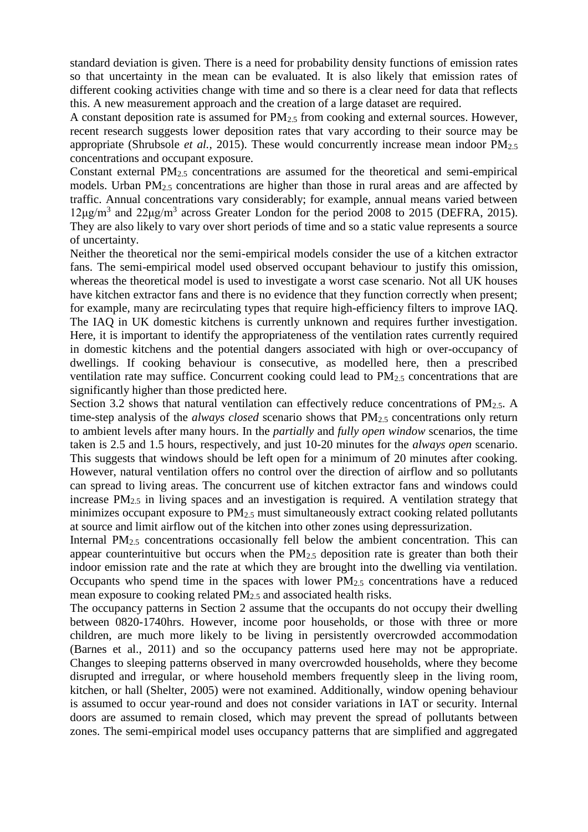standard deviation is given. There is a need for probability density functions of emission rates so that uncertainty in the mean can be evaluated. It is also likely that emission rates of different cooking activities change with time and so there is a clear need for data that reflects this. A new measurement approach and the creation of a large dataset are required.

A constant deposition rate is assumed for  $PM_{2.5}$  from cooking and external sources. However, recent research suggests lower deposition rates that vary according to their source may be appropriate (Shrubsole *et al.*, 2015). These would concurrently increase mean indoor PM<sub>2.5</sub> concentrations and occupant exposure.

Constant external  $PM<sub>2.5</sub>$  concentrations are assumed for the theoretical and semi-empirical models. Urban PM2.5 concentrations are higher than those in rural areas and are affected by traffic. Annual concentrations vary considerably; for example, annual means varied between  $12\mu$ g/m<sup>3</sup> and  $22\mu$ g/m<sup>3</sup> across Greater London for the period 2008 to 2015 (DEFRA, 2015). They are also likely to vary over short periods of time and so a static value represents a source of uncertainty.

Neither the theoretical nor the semi-empirical models consider the use of a kitchen extractor fans. The semi-empirical model used observed occupant behaviour to justify this omission, whereas the theoretical model is used to investigate a worst case scenario. Not all UK houses have kitchen extractor fans and there is no evidence that they function correctly when present; for example, many are recirculating types that require high-efficiency filters to improve IAQ. The IAQ in UK domestic kitchens is currently unknown and requires further investigation. Here, it is important to identify the appropriateness of the ventilation rates currently required in domestic kitchens and the potential dangers associated with high or over-occupancy of dwellings. If cooking behaviour is consecutive, as modelled here, then a prescribed ventilation rate may suffice. Concurrent cooking could lead to  $PM_{2.5}$  concentrations that are significantly higher than those predicted here.

Section 3.2 shows that natural ventilation can effectively reduce concentrations of  $PM_{2.5}$ . A time-step analysis of the *always closed* scenario shows that PM<sub>2.5</sub> concentrations only return to ambient levels after many hours. In the *partially* and *fully open window* scenarios, the time taken is 2.5 and 1.5 hours, respectively, and just 10-20 minutes for the *always open* scenario. This suggests that windows should be left open for a minimum of 20 minutes after cooking. However, natural ventilation offers no control over the direction of airflow and so pollutants can spread to living areas. The concurrent use of kitchen extractor fans and windows could increase  $PM_{2.5}$  in living spaces and an investigation is required. A ventilation strategy that minimizes occupant exposure to PM<sub>2.5</sub> must simultaneously extract cooking related pollutants at source and limit airflow out of the kitchen into other zones using depressurization.

Internal PM<sub>2.5</sub> concentrations occasionally fell below the ambient concentration. This can appear counterintuitive but occurs when the  $PM<sub>2.5</sub>$  deposition rate is greater than both their indoor emission rate and the rate at which they are brought into the dwelling via ventilation. Occupants who spend time in the spaces with lower  $PM_{2.5}$  concentrations have a reduced mean exposure to cooking related PM2.5 and associated health risks.

The occupancy patterns in Section 2 assume that the occupants do not occupy their dwelling between 0820-1740hrs. However, income poor households, or those with three or more children, are much more likely to be living in persistently overcrowded accommodation (Barnes et al., 2011) and so the occupancy patterns used here may not be appropriate. Changes to sleeping patterns observed in many overcrowded households, where they become disrupted and irregular, or where household members frequently sleep in the living room, kitchen, or hall (Shelter, 2005) were not examined. Additionally, window opening behaviour is assumed to occur year-round and does not consider variations in IAT or security. Internal doors are assumed to remain closed, which may prevent the spread of pollutants between zones. The semi-empirical model uses occupancy patterns that are simplified and aggregated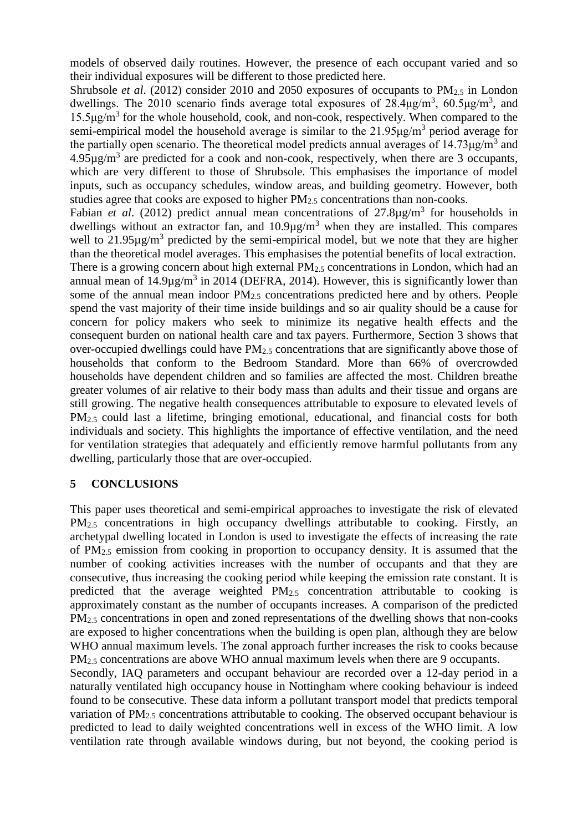models of observed daily routines. However, the presence of each occupant varied and so their individual exposures will be different to those predicted here.

Shrubsole *et al.* (2012) consider 2010 and 2050 exposures of occupants to PM<sub>2.5</sub> in London dwellings. The 2010 scenario finds average total exposures of  $28.4\mu g/m^3$ ,  $60.5\mu g/m^3$ , and 15.5μg/m<sup>3</sup> for the whole household, cook, and non-cook, respectively. When compared to the semi-empirical model the household average is similar to the  $21.95\mu g/m<sup>3</sup>$  period average for the partially open scenario. The theoretical model predicts annual averages of  $14.73 \mu g/m<sup>3</sup>$  and  $4.95\mu\text{g/m}^3$  are predicted for a cook and non-cook, respectively, when there are 3 occupants, which are very different to those of Shrubsole. This emphasises the importance of model inputs, such as occupancy schedules, window areas, and building geometry. However, both studies agree that cooks are exposed to higher  $PM<sub>2.5</sub>$  concentrations than non-cooks.

Fabian *et al.* (2012) predict annual mean concentrations of  $27.8\mu g/m<sup>3</sup>$  for households in dwellings without an extractor fan, and  $10.9\mu g/m<sup>3</sup>$  when they are installed. This compares well to  $21.95\mu g/m^3$  predicted by the semi-empirical model, but we note that they are higher than the theoretical model averages. This emphasises the potential benefits of local extraction. There is a growing concern about high external  $PM_{2.5}$  concentrations in London, which had an annual mean of  $14.9\mu\text{g/m}^3$  in 2014 (DEFRA, 2014). However, this is significantly lower than some of the annual mean indoor PM2.5 concentrations predicted here and by others. People spend the vast majority of their time inside buildings and so air quality should be a cause for concern for policy makers who seek to minimize its negative health effects and the consequent burden on national health care and tax payers. Furthermore, Section 3 shows that over-occupied dwellings could have  $PM_{2.5}$  concentrations that are significantly above those of households that conform to the Bedroom Standard. More than 66% of overcrowded households have dependent children and so families are affected the most. Children breathe greater volumes of air relative to their body mass than adults and their tissue and organs are still growing. The negative health consequences attributable to exposure to elevated levels of PM<sub>2.5</sub> could last a lifetime, bringing emotional, educational, and financial costs for both individuals and society. This highlights the importance of effective ventilation, and the need for ventilation strategies that adequately and efficiently remove harmful pollutants from any dwelling, particularly those that are over-occupied.

# **5 CONCLUSIONS**

This paper uses theoretical and semi-empirical approaches to investigate the risk of elevated PM<sub>2.5</sub> concentrations in high occupancy dwellings attributable to cooking. Firstly, an archetypal dwelling located in London is used to investigate the effects of increasing the rate of PM2.5 emission from cooking in proportion to occupancy density. It is assumed that the number of cooking activities increases with the number of occupants and that they are consecutive, thus increasing the cooking period while keeping the emission rate constant. It is predicted that the average weighted  $PM<sub>2.5</sub>$  concentration attributable to cooking is approximately constant as the number of occupants increases. A comparison of the predicted PM2.5 concentrations in open and zoned representations of the dwelling shows that non-cooks are exposed to higher concentrations when the building is open plan, although they are below WHO annual maximum levels. The zonal approach further increases the risk to cooks because PM<sub>2.5</sub> concentrations are above WHO annual maximum levels when there are 9 occupants.

Secondly, IAQ parameters and occupant behaviour are recorded over a 12-day period in a naturally ventilated high occupancy house in Nottingham where cooking behaviour is indeed found to be consecutive. These data inform a pollutant transport model that predicts temporal variation of PM<sub>2.5</sub> concentrations attributable to cooking. The observed occupant behaviour is predicted to lead to daily weighted concentrations well in excess of the WHO limit. A low ventilation rate through available windows during, but not beyond, the cooking period is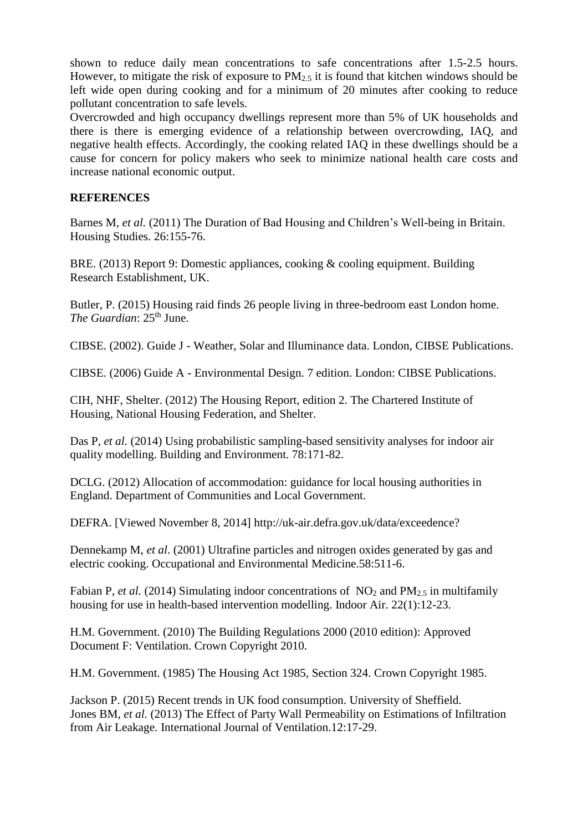shown to reduce daily mean concentrations to safe concentrations after 1.5-2.5 hours. However, to mitigate the risk of exposure to  $PM_{2.5}$  it is found that kitchen windows should be left wide open during cooking and for a minimum of 20 minutes after cooking to reduce pollutant concentration to safe levels.

Overcrowded and high occupancy dwellings represent more than 5% of UK households and there is there is emerging evidence of a relationship between overcrowding, IAQ, and negative health effects. Accordingly, the cooking related IAQ in these dwellings should be a cause for concern for policy makers who seek to minimize national health care costs and increase national economic output.

# **REFERENCES**

Barnes M, *et al.* (2011) The Duration of Bad Housing and Children's Well-being in Britain. Housing Studies. 26:155-76.

BRE. (2013) Report 9: Domestic appliances, cooking & cooling equipment. Building Research Establishment, UK.

Butler, P. (2015) Housing raid finds 26 people living in three-bedroom east London home. *The Guardian*: 25<sup>th</sup> June.

CIBSE. (2002). Guide J - Weather, Solar and Illuminance data. London, CIBSE Publications.

CIBSE. (2006) Guide A - Environmental Design. 7 edition. London: CIBSE Publications.

CIH, NHF, Shelter. (2012) The Housing Report, edition 2. The Chartered Institute of Housing, National Housing Federation, and Shelter.

Das P, *et al.* (2014) Using probabilistic sampling-based sensitivity analyses for indoor air quality modelling. Building and Environment. 78:171-82.

DCLG. (2012) Allocation of accommodation: guidance for local housing authorities in England. Department of Communities and Local Government.

DEFRA. [Viewed November 8, 2014] http://uk-air.defra.gov.uk/data/exceedence?

Dennekamp M, *et al*. (2001) Ultrafine particles and nitrogen oxides generated by gas and electric cooking. Occupational and Environmental Medicine.58:511-6.

Fabian P, *et al.* (2014) Simulating indoor concentrations of  $NO<sub>2</sub>$  and  $PM<sub>2</sub>$  in multifamily housing for use in health-based intervention modelling. Indoor Air. 22(1):12-23.

H.M. Government. (2010) The Building Regulations 2000 (2010 edition): Approved Document F: Ventilation. Crown Copyright 2010.

H.M. Government. (1985) The Housing Act 1985, Section 324. Crown Copyright 1985.

Jackson P. (2015) Recent trends in UK food consumption. University of Sheffield. Jones BM, *et al.* (2013) The Effect of Party Wall Permeability on Estimations of Infiltration from Air Leakage. International Journal of Ventilation.12:17-29.